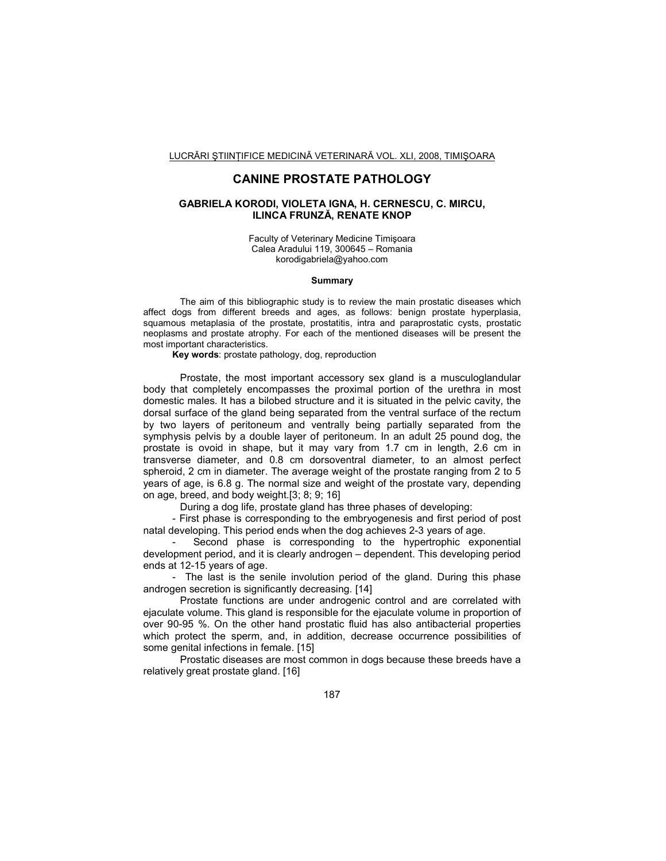# **CANINE PROSTATE PATHOLOGY**

## **GABRIELA KORODI, VIOLETA IGNA, H. CERNESCU, C. MIRCU, ILINCA FRUNZĂ, RENATE KNOP**

Faculty of Veterinary Medicine Timişoara Calea Aradului 119, 300645 – Romania korodigabriela@yahoo.com

#### **Summary**

 The aim of this bibliographic study is to review the main prostatic diseases which affect dogs from different breeds and ages, as follows: benign prostate hyperplasia, squamous metaplasia of the prostate, prostatitis, intra and paraprostatic cysts, prostatic neoplasms and prostate atrophy. For each of the mentioned diseases will be present the most important characteristics.

**Key words**: prostate pathology, dog, reproduction

Prostate, the most important accessory sex gland is a musculoglandular body that completely encompasses the proximal portion of the urethra in most domestic males. It has a bilobed structure and it is situated in the pelvic cavity, the dorsal surface of the gland being separated from the ventral surface of the rectum by two layers of peritoneum and ventrally being partially separated from the symphysis pelvis by a double layer of peritoneum. In an adult 25 pound dog, the prostate is ovoid in shape, but it may vary from 1.7 cm in length, 2.6 cm in transverse diameter, and 0.8 cm dorsoventral diameter, to an almost perfect spheroid, 2 cm in diameter. The average weight of the prostate ranging from 2 to 5 years of age, is 6.8 g. The normal size and weight of the prostate vary, depending on age, breed, and body weight.[3; 8; 9; 16]

During a dog life, prostate gland has three phases of developing:

- First phase is corresponding to the embryogenesis and first period of post natal developing. This period ends when the dog achieves 2-3 years of age.

Second phase is corresponding to the hypertrophic exponential development period, and it is clearly androgen – dependent. This developing period ends at 12-15 years of age.

- The last is the senile involution period of the gland. During this phase androgen secretion is significantly decreasing. [14]

Prostate functions are under androgenic control and are correlated with ejaculate volume. This gland is responsible for the ejaculate volume in proportion of over 90-95 %. On the other hand prostatic fluid has also antibacterial properties which protect the sperm, and, in addition, decrease occurrence possibilities of some genital infections in female. [15]

Prostatic diseases are most common in dogs because these breeds have a relatively great prostate gland. [16]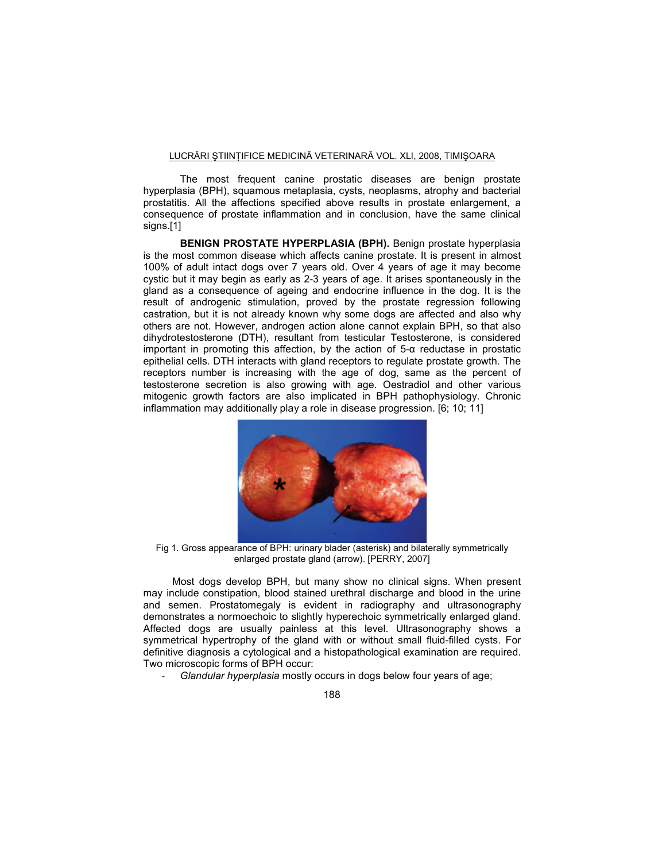The most frequent canine prostatic diseases are benign prostate hyperplasia (BPH), squamous metaplasia, cysts, neoplasms, atrophy and bacterial prostatitis. All the affections specified above results in prostate enlargement, a consequence of prostate inflammation and in conclusion, have the same clinical signs.[1]

**BENIGN PROSTATE HYPERPLASIA (BPH).** Benign prostate hyperplasia is the most common disease which affects canine prostate. It is present in almost 100% of adult intact dogs over 7 years old. Over 4 years of age it may become cystic but it may begin as early as 2-3 years of age. It arises spontaneously in the gland as a consequence of ageing and endocrine influence in the dog. It is the result of androgenic stimulation, proved by the prostate regression following castration, but it is not already known why some dogs are affected and also why others are not. However, androgen action alone cannot explain BPH, so that also dihydrotestosterone (DTH), resultant from testicular Testosterone, is considered important in promoting this affection, by the action of 5-α reductase in prostatic epithelial cells. DTH interacts with gland receptors to regulate prostate growth. The receptors number is increasing with the age of dog, same as the percent of testosterone secretion is also growing with age. Oestradiol and other various mitogenic growth factors are also implicated in BPH pathophysiology. Chronic inflammation may additionally play a role in disease progression. [6; 10; 11]



Fig 1. Gross appearance of BPH: urinary blader (asterisk) and bilaterally symmetrically enlarged prostate gland (arrow). [PERRY, 2007]

Most dogs develop BPH, but many show no clinical signs. When present may include constipation, blood stained urethral discharge and blood in the urine and semen. Prostatomegaly is evident in radiography and ultrasonography demonstrates a normoechoic to slightly hyperechoic symmetrically enlarged gland. Affected dogs are usually painless at this level. Ultrasonography shows a symmetrical hypertrophy of the gland with or without small fluid-filled cysts. For definitive diagnosis a cytological and a histopathological examination are required. Two microscopic forms of BPH occur:

- *Glandular hyperplasia* mostly occurs in dogs below four years of age;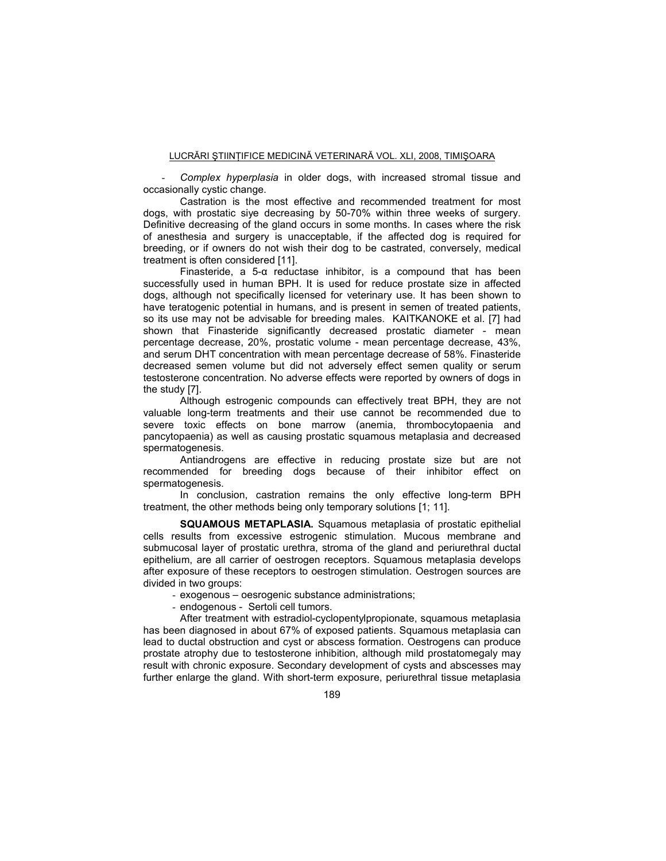- *Complex hyperplasia* in older dogs, with increased stromal tissue and occasionally cystic change.

Castration is the most effective and recommended treatment for most dogs, with prostatic siye decreasing by 50-70% within three weeks of surgery. Definitive decreasing of the gland occurs in some months. In cases where the risk of anesthesia and surgery is unacceptable, if the affected dog is required for breeding, or if owners do not wish their dog to be castrated, conversely, medical treatment is often considered [11].

Finasteride, a 5-α reductase inhibitor, is a compound that has been successfully used in human BPH. It is used for reduce prostate size in affected dogs, although not specifically licensed for veterinary use. It has been shown to have teratogenic potential in humans, and is present in semen of treated patients, so its use may not be advisable for breeding males. KAITKANOKE et al. [7] had shown that Finasteride significantly decreased prostatic diameter - mean percentage decrease, 20%, prostatic volume - mean percentage decrease, 43%, and serum DHT concentration with mean percentage decrease of 58%. Finasteride decreased semen volume but did not adversely effect semen quality or serum testosterone concentration. No adverse effects were reported by owners of dogs in the study [7].

Although estrogenic compounds can effectively treat BPH, they are not valuable long-term treatments and their use cannot be recommended due to severe toxic effects on bone marrow (anemia, thrombocytopaenia and pancytopaenia) as well as causing prostatic squamous metaplasia and decreased spermatogenesis.

Antiandrogens are effective in reducing prostate size but are not recommended for breeding dogs because of their inhibitor effect on spermatogenesis.

In conclusion, castration remains the only effective long-term BPH treatment, the other methods being only temporary solutions [1; 11].

**SQUAMOUS METAPLASIA.** Squamous metaplasia of prostatic epithelial cells results from excessive estrogenic stimulation. Mucous membrane and submucosal layer of prostatic urethra, stroma of the gland and periurethral ductal epithelium, are all carrier of oestrogen receptors. Squamous metaplasia develops after exposure of these receptors to oestrogen stimulation. Oestrogen sources are divided in two groups:

- exogenous oesrogenic substance administrations;
- endogenous Sertoli cell tumors.

After treatment with estradiol-cyclopentylpropionate, squamous metaplasia has been diagnosed in about 67% of exposed patients. Squamous metaplasia can lead to ductal obstruction and cyst or abscess formation. Oestrogens can produce prostate atrophy due to testosterone inhibition, although mild prostatomegaly may result with chronic exposure. Secondary development of cysts and abscesses may further enlarge the gland. With short-term exposure, periurethral tissue metaplasia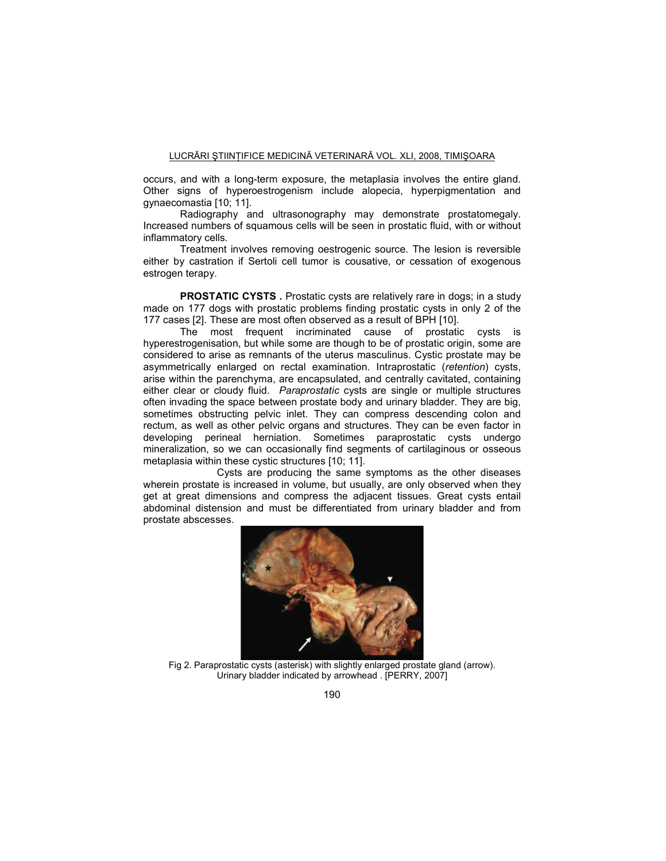occurs, and with a long-term exposure, the metaplasia involves the entire gland. Other signs of hyperoestrogenism include alopecia, hyperpigmentation and gynaecomastia [10; 11].

Radiography and ultrasonography may demonstrate prostatomegaly. Increased numbers of squamous cells will be seen in prostatic fluid, with or without inflammatory cells.

Treatment involves removing oestrogenic source. The lesion is reversible either by castration if Sertoli cell tumor is cousative, or cessation of exogenous estrogen terapy.

**PROSTATIC CYSTS**. Prostatic cysts are relatively rare in dogs; in a study made on 177 dogs with prostatic problems finding prostatic cysts in only 2 of the 177 cases [2]. These are most often observed as a result of BPH [10].

The most frequent incriminated cause of prostatic cysts is hyperestrogenisation, but while some are though to be of prostatic origin, some are considered to arise as remnants of the uterus masculinus. Cystic prostate may be asymmetrically enlarged on rectal examination. Intraprostatic (*retention*) cysts, arise within the parenchyma, are encapsulated, and centrally cavitated, containing either clear or cloudy fluid. *Paraprostatic* cysts are single or multiple structures often invading the space between prostate body and urinary bladder. They are big, sometimes obstructing pelvic inlet. They can compress descending colon and rectum, as well as other pelvic organs and structures. They can be even factor in developing perineal herniation. Sometimes paraprostatic cysts undergo mineralization, so we can occasionally find segments of cartilaginous or osseous metaplasia within these cystic structures [10; 11].

 Cysts are producing the same symptoms as the other diseases wherein prostate is increased in volume, but usually, are only observed when they get at great dimensions and compress the adjacent tissues. Great cysts entail abdominal distension and must be differentiated from urinary bladder and from prostate abscesses.



Fig 2. Paraprostatic cysts (asterisk) with slightly enlarged prostate gland (arrow). Urinary bladder indicated by arrowhead . [PERRY, 2007]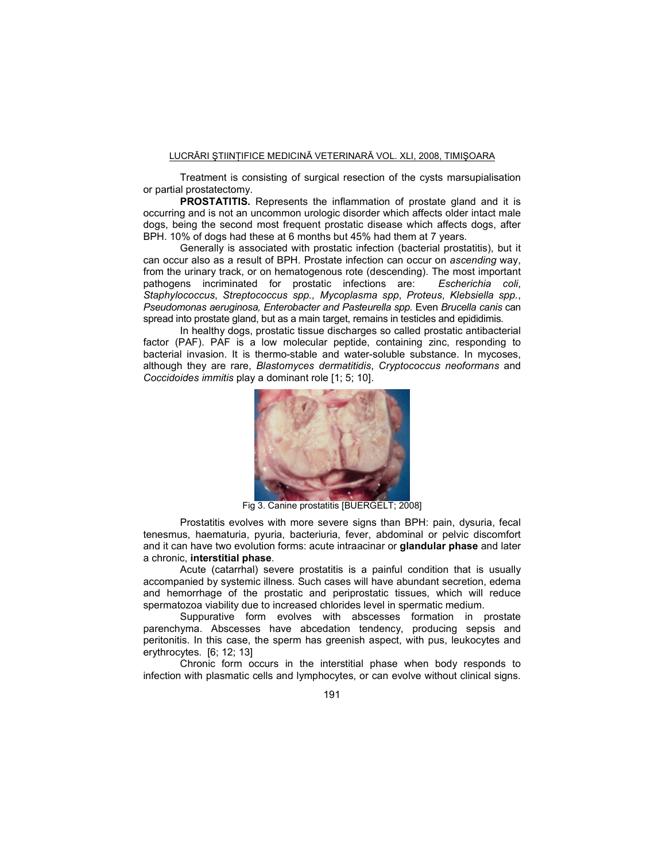Treatment is consisting of surgical resection of the cysts marsupialisation or partial prostatectomy.

**PROSTATITIS.** Represents the inflammation of prostate gland and it is occurring and is not an uncommon urologic disorder which affects older intact male dogs, being the second most frequent prostatic disease which affects dogs, after BPH. 10% of dogs had these at 6 months but 45% had them at 7 years.

Generally is associated with prostatic infection (bacterial prostatitis), but it can occur also as a result of BPH. Prostate infection can occur on *ascending* way, from the urinary track, or on hematogenous rote (descending). The most important pathogens incriminated for prostatic infections are: Escherichia coli. pathogens incriminated for prostatic infections are: *Staphylococcus*, *Streptococcus spp., Mycoplasma spp*, *Proteus*, *Klebsiella spp.*, *Pseudomonas aeruginosa, Enterobacter and Pasteurella spp.* Even *Brucella canis* can spread into prostate gland, but as a main target, remains in testicles and epididimis.

In healthy dogs, prostatic tissue discharges so called prostatic antibacterial factor (PAF). PAF is a low molecular peptide, containing zinc, responding to bacterial invasion. It is thermo-stable and water-soluble substance. In mycoses, although they are rare, *Blastomyces dermatitidis*, *Cryptococcus neoformans* and *Coccidoides immitis* play a dominant role [1; 5; 10].



Fig 3. Canine prostatitis [BUERGELT; 2008]

Prostatitis evolves with more severe signs than BPH: pain, dysuria, fecal tenesmus, haematuria, pyuria, bacteriuria, fever, abdominal or pelvic discomfort and it can have two evolution forms: acute intraacinar or **glandular phase** and later a chronic, **interstitial phase**.

Acute (catarrhal) severe prostatitis is a painful condition that is usually accompanied by systemic illness. Such cases will have abundant secretion, edema and hemorrhage of the prostatic and periprostatic tissues, which will reduce spermatozoa viability due to increased chlorides level in spermatic medium.

Suppurative form evolves with abscesses formation in prostate parenchyma. Abscesses have abcedation tendency, producing sepsis and peritonitis. In this case, the sperm has greenish aspect, with pus, leukocytes and erythrocytes. [6; 12; 13]

Chronic form occurs in the interstitial phase when body responds to infection with plasmatic cells and lymphocytes, or can evolve without clinical signs.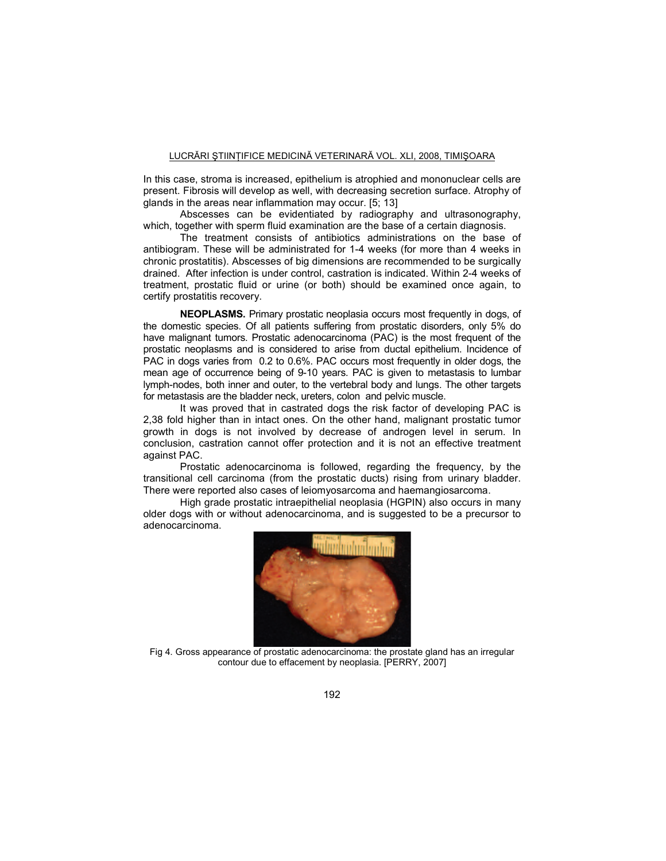In this case, stroma is increased, epithelium is atrophied and mononuclear cells are present. Fibrosis will develop as well, with decreasing secretion surface. Atrophy of glands in the areas near inflammation may occur. [5; 13]

Abscesses can be evidentiated by radiography and ultrasonography, which, together with sperm fluid examination are the base of a certain diagnosis.

The treatment consists of antibiotics administrations on the base of antibiogram. These will be administrated for 1-4 weeks (for more than 4 weeks in chronic prostatitis). Abscesses of big dimensions are recommended to be surgically drained. After infection is under control, castration is indicated. Within 2-4 weeks of treatment, prostatic fluid or urine (or both) should be examined once again, to certify prostatitis recovery.

**NEOPLASMS.** Primary prostatic neoplasia occurs most frequently in dogs, of the domestic species. Of all patients suffering from prostatic disorders, only 5% do have malignant tumors. Prostatic adenocarcinoma (PAC) is the most frequent of the prostatic neoplasms and is considered to arise from ductal epithelium. Incidence of PAC in dogs varies from 0.2 to 0.6%. PAC occurs most frequently in older dogs, the mean age of occurrence being of 9-10 years. PAC is given to metastasis to lumbar lymph-nodes, both inner and outer, to the vertebral body and lungs. The other targets for metastasis are the bladder neck, ureters, colon and pelvic muscle.

It was proved that in castrated dogs the risk factor of developing PAC is 2,38 fold higher than in intact ones. On the other hand, malignant prostatic tumor growth in dogs is not involved by decrease of androgen level in serum. In conclusion, castration cannot offer protection and it is not an effective treatment against PAC.

Prostatic adenocarcinoma is followed, regarding the frequency, by the transitional cell carcinoma (from the prostatic ducts) rising from urinary bladder. There were reported also cases of leiomyosarcoma and haemangiosarcoma.

High grade prostatic intraepithelial neoplasia (HGPIN) also occurs in many older dogs with or without adenocarcinoma, and is suggested to be a precursor to adenocarcinoma.



Fig 4. Gross appearance of prostatic adenocarcinoma: the prostate gland has an irregular contour due to effacement by neoplasia. [PERRY, 2007]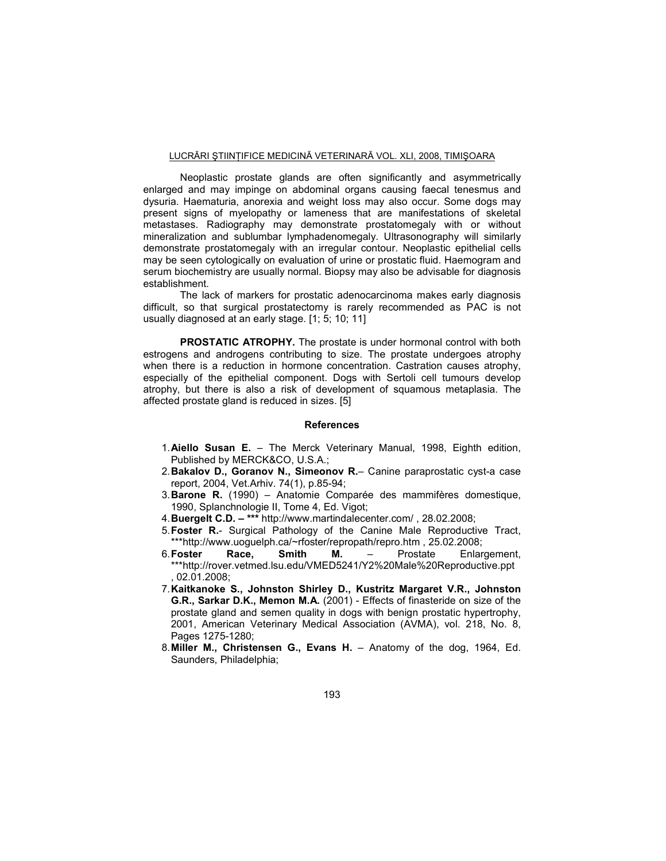Neoplastic prostate glands are often significantly and asymmetrically enlarged and may impinge on abdominal organs causing faecal tenesmus and dysuria. Haematuria, anorexia and weight loss may also occur. Some dogs may present signs of myelopathy or lameness that are manifestations of skeletal metastases. Radiography may demonstrate prostatomegaly with or without mineralization and sublumbar lymphadenomegaly. Ultrasonography will similarly demonstrate prostatomegaly with an irregular contour. Neoplastic epithelial cells may be seen cytologically on evaluation of urine or prostatic fluid. Haemogram and serum biochemistry are usually normal. Biopsy may also be advisable for diagnosis establishment.

The lack of markers for prostatic adenocarcinoma makes early diagnosis difficult, so that surgical prostatectomy is rarely recommended as PAC is not usually diagnosed at an early stage. [1; 5; 10; 11]

**PROSTATIC ATROPHY.** The prostate is under hormonal control with both estrogens and androgens contributing to size. The prostate undergoes atrophy when there is a reduction in hormone concentration. Castration causes atrophy, especially of the epithelial component. Dogs with Sertoli cell tumours develop atrophy, but there is also a risk of development of squamous metaplasia. The affected prostate gland is reduced in sizes. [5]

#### **References**

- 1. **Aiello Susan E.** The Merck Veterinary Manual, 1998, Eighth edition, Published by MERCK&CO, U.S.A.;
- 2. **Bakalov D., Goranov N., Simeonov R.** Canine paraprostatic cyst-a case report, 2004, Vet.Arhiv. 74(1), p.85-94;
- 3. **Barone R.** (1990) Anatomie Comparée des mammifères domestique, 1990, Splanchnologie II, Tome 4, Ed. Vigot;
- 4. **Buergelt C.D. \*\*\*** http://www.martindalecenter.com/ , 28.02.2008;
- 5. **Foster R.** Surgical Pathology of the Canine Male Reproductive Tract, \*\*\*http://www.uoguelph.ca/~rfoster/repropath/repro.htm , 25.02.2008;
- 6. **Foster Race, Smith M.** Prostate Enlargement, \*\*\*http://rover.vetmed.lsu.edu/VMED5241/Y2%20Male%20Reproductive.ppt , 02.01.2008;
- 7. **Kaitkanoke S., Johnston Shirley D., Kustritz Margaret V.R., Johnston G.R., Sarkar D.K., Memon M.A.** (2001) - Effects of finasteride on size of the prostate gland and semen quality in dogs with benign prostatic hypertrophy, 2001, American Veterinary Medical Association (AVMA), vol. 218, No. 8, Pages 1275-1280;
- 8. **Miller M., Christensen G., Evans H.**  Anatomy of the dog, 1964, Ed. Saunders, Philadelphia;